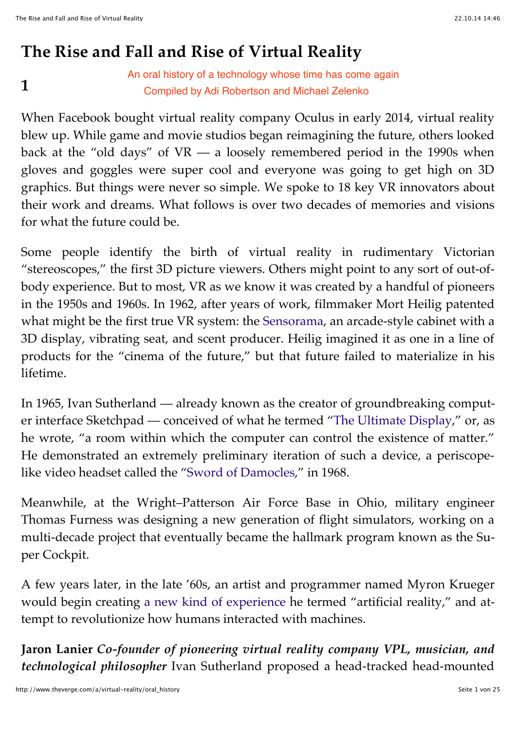# **The Rise and Fall and Rise of Virtual Reality**

## **1**

Compiled by Adi Robertson and Michael Zelenko An oral history of a technology whose time has come again

When Facebook bought virtual reality company Oculus in early 2014, virtual reality blew up. While game and movie studios began reimagining the future, others looked back at the "old days" of VR — a loosely remembered period in the 1990s when gloves and goggles were super cool and everyone was going to get high on 3D graphics. But things were never so simple. We spoke to 18 key VR innovators about their work and dreams. What follows is over two decades of memories and visions for what the future could be.

Some people identify the birth of virtual reality in rudimentary Victorian "stereoscopes," the first 3D picture viewers. Others might point to any sort of out-ofbody experience. But to most, VR as we know it was created by a handful of pioneers in the 1950s and 1960s. In 1962, after years of work, filmmaker Mort Heilig patented what might be the first true VR system: the [Sensorama,](http://www.mortonheilig.com/InventorVR.html) an arcade-style cabinet with a 3D display, vibrating seat, and scent producer. Heilig imagined it as one in a line of products for the "cinema of the future," but that future failed to materialize in his lifetime.

In 1965, Ivan Sutherland — already known as the creator of groundbreaking computer interface Sketchpad — conceived of what he termed ["The Ultimate Display,](http://www.wired.com/2009/09/augmented-reality-the-ultimate-display-by-ivan-sutherland-1965/)" or, as he wrote, "a room within which the computer can control the existence of matter." He demonstrated an extremely preliminary iteration of such a device, a periscopelike video headset called the ["Sword of Damocles,](http://www.computerhistory.org/revolution/input-output/14/356/1830)" in 1968.

Meanwhile, at the Wright–Patterson Air Force Base in Ohio, military engineer Thomas Furness was designing a new generation of flight simulators, working on a multi-decade project that eventually became the hallmark program known as the Super Cockpit.

A few years later, in the late '60s, an artist and programmer named Myron Krueger would begin creating [a new kind of experience](http://www.youtube.com/watch?v=dmmxVA5xhuo) he termed "artificial reality," and attempt to revolutionize how humans interacted with machines.

**Jaron Lanier** *Co-founder of pioneering virtual reality company VPL, musician, and technological philosopher* Ivan Sutherland proposed a head-tracked head-mounted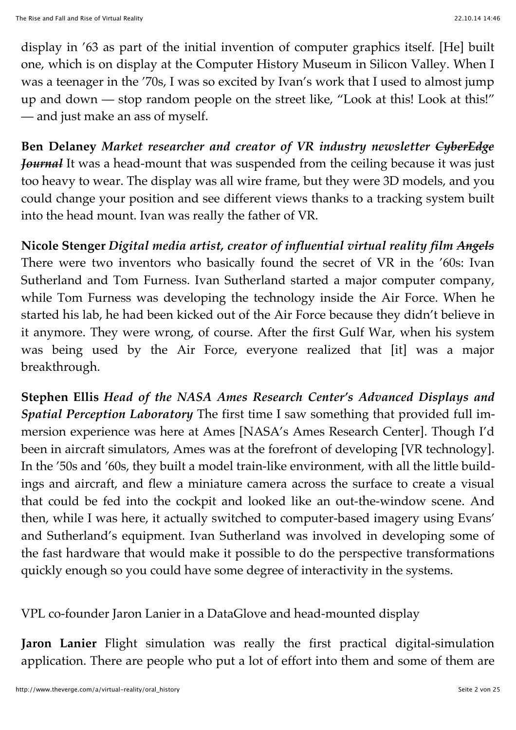display in '63 as part of the initial invention of computer graphics itself. [He] built one, which is on display at the Computer History Museum in Silicon Valley. When I was a teenager in the '70s, I was so excited by Ivan's work that I used to almost jump up and down — stop random people on the street like, "Look at this! Look at this!" — and just make an ass of myself.

**Ben Delaney** *Market researcher and creator of VR industry newsletter CyberEdge Journal* It was a head-mount that was suspended from the ceiling because it was just too heavy to wear. The display was all wire frame, but they were 3D models, and you could change your position and see different views thanks to a tracking system built into the head mount. Ivan was really the father of VR.

**Nicole Stenger** *Digital media artist, creator of influential virtual reality film Angels* There were two inventors who basically found the secret of VR in the '60s: Ivan Sutherland and Tom Furness. Ivan Sutherland started a major computer company, while Tom Furness was developing the technology inside the Air Force. When he started his lab, he had been kicked out of the Air Force because they didn't believe in it anymore. They were wrong, of course. After the first Gulf War, when his system was being used by the Air Force, everyone realized that [it] was a major breakthrough.

**Stephen Ellis** *Head of the NASA Ames Research Center's Advanced Displays and Spatial Perception Laboratory* The first time I saw something that provided full immersion experience was here at Ames [NASA's Ames Research Center]. Though I'd been in aircraft simulators, Ames was at the forefront of developing [VR technology]. In the '50s and '60s, they built a model train-like environment, with all the little buildings and aircraft, and flew a miniature camera across the surface to create a visual that could be fed into the cockpit and looked like an out-the-window scene. And then, while I was here, it actually switched to computer-based imagery using Evans' and Sutherland's equipment. Ivan Sutherland was involved in developing some of the fast hardware that would make it possible to do the perspective transformations quickly enough so you could have some degree of interactivity in the systems.

VPL co-founder Jaron Lanier in a DataGlove and head-mounted display

**Jaron Lanier** Flight simulation was really the first practical digital-simulation application. There are people who put a lot of effort into them and some of them are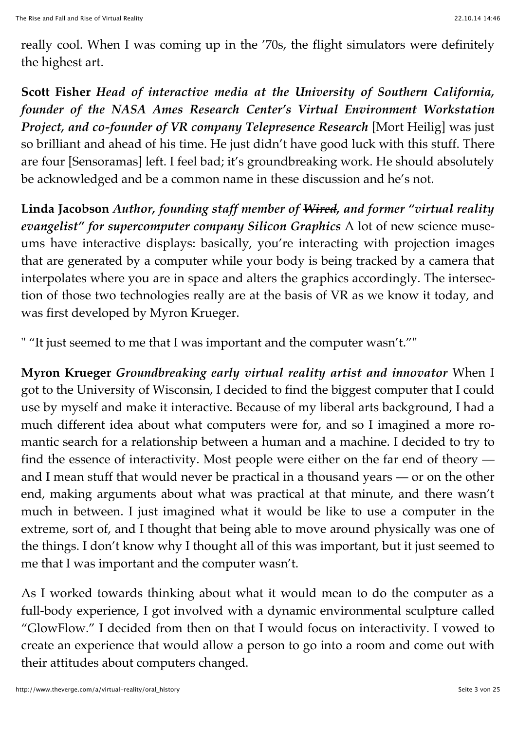really cool. When I was coming up in the '70s, the flight simulators were definitely the highest art.

**Scott Fisher** *Head of interactive media at the University of Southern California, founder of the NASA Ames Research Center's Virtual Environment Workstation Project, and co-founder of VR company Telepresence Research* [Mort Heilig] was just so brilliant and ahead of his time. He just didn't have good luck with this stuff. There are four [Sensoramas] left. I feel bad; it's groundbreaking work. He should absolutely be acknowledged and be a common name in these discussion and he's not.

**Linda Jacobson** *Author, founding staff member of Wired, and former "virtual reality evangelist" for supercomputer company Silicon Graphics* A lot of new science museums have interactive displays: basically, you're interacting with projection images that are generated by a computer while your body is being tracked by a camera that interpolates where you are in space and alters the graphics accordingly. The intersection of those two technologies really are at the basis of VR as we know it today, and was first developed by Myron Krueger.

" "It just seemed to me that I was important and the computer wasn't.""

**Myron Krueger** *Groundbreaking early virtual reality artist and innovator* When I got to the University of Wisconsin, I decided to find the biggest computer that I could use by myself and make it interactive. Because of my liberal arts background, I had a much different idea about what computers were for, and so I imagined a more romantic search for a relationship between a human and a machine. I decided to try to find the essence of interactivity. Most people were either on the far end of theory and I mean stuff that would never be practical in a thousand years — or on the other end, making arguments about what was practical at that minute, and there wasn't much in between. I just imagined what it would be like to use a computer in the extreme, sort of, and I thought that being able to move around physically was one of the things. I don't know why I thought all of this was important, but it just seemed to me that I was important and the computer wasn't.

As I worked towards thinking about what it would mean to do the computer as a full-body experience, I got involved with a dynamic environmental sculpture called "GlowFlow." I decided from then on that I would focus on interactivity. I vowed to create an experience that would allow a person to go into a room and come out with their attitudes about computers changed.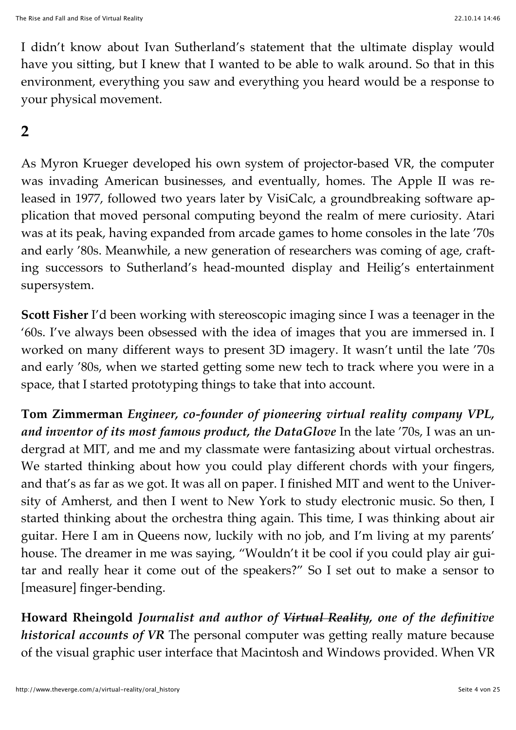I didn't know about Ivan Sutherland's statement that the ultimate display would have you sitting, but I knew that I wanted to be able to walk around. So that in this environment, everything you saw and everything you heard would be a response to your physical movement.

## **2**

As Myron Krueger developed his own system of projector-based VR, the computer was invading American businesses, and eventually, homes. The Apple II was released in 1977, followed two years later by VisiCalc, a groundbreaking software application that moved personal computing beyond the realm of mere curiosity. Atari was at its peak, having expanded from arcade games to home consoles in the late '70s and early '80s. Meanwhile, a new generation of researchers was coming of age, crafting successors to Sutherland's head-mounted display and Heilig's entertainment supersystem.

**Scott Fisher** I'd been working with stereoscopic imaging since I was a teenager in the '60s. I've always been obsessed with the idea of images that you are immersed in. I worked on many different ways to present 3D imagery. It wasn't until the late '70s and early '80s, when we started getting some new tech to track where you were in a space, that I started prototyping things to take that into account.

**Tom Zimmerman** *Engineer, co-founder of pioneering virtual reality company VPL, and inventor of its most famous product, the DataGlove* In the late '70s, I was an undergrad at MIT, and me and my classmate were fantasizing about virtual orchestras. We started thinking about how you could play different chords with your fingers, and that's as far as we got. It was all on paper. I finished MIT and went to the University of Amherst, and then I went to New York to study electronic music. So then, I started thinking about the orchestra thing again. This time, I was thinking about air guitar. Here I am in Queens now, luckily with no job, and I'm living at my parents' house. The dreamer in me was saying, "Wouldn't it be cool if you could play air guitar and really hear it come out of the speakers?" So I set out to make a sensor to [measure] finger-bending.

**Howard Rheingold** *Journalist and author of Virtual Reality, one of the definitive historical accounts of VR* The personal computer was getting really mature because of the visual graphic user interface that Macintosh and Windows provided. When VR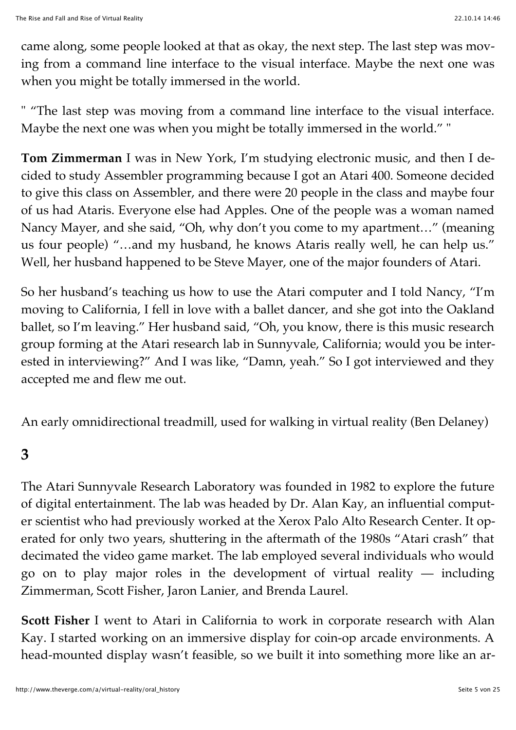came along, some people looked at that as okay, the next step. The last step was moving from a command line interface to the visual interface. Maybe the next one was when you might be totally immersed in the world.

" "The last step was moving from a command line interface to the visual interface. Maybe the next one was when you might be totally immersed in the world." "

**Tom Zimmerman** I was in New York, I'm studying electronic music, and then I decided to study Assembler programming because I got an Atari 400. Someone decided to give this class on Assembler, and there were 20 people in the class and maybe four of us had Ataris. Everyone else had Apples. One of the people was a woman named Nancy Mayer, and she said, "Oh, why don't you come to my apartment…" (meaning us four people) "…and my husband, he knows Ataris really well, he can help us." Well, her husband happened to be Steve Mayer, one of the major founders of Atari.

So her husband's teaching us how to use the Atari computer and I told Nancy, "I'm moving to California, I fell in love with a ballet dancer, and she got into the Oakland ballet, so I'm leaving." Her husband said, "Oh, you know, there is this music research group forming at the Atari research lab in Sunnyvale, California; would you be interested in interviewing?" And I was like, "Damn, yeah." So I got interviewed and they accepted me and flew me out.

An early omnidirectional treadmill, used for walking in virtual reality (Ben Delaney)

### **3**

The Atari Sunnyvale Research Laboratory was founded in 1982 to explore the future of digital entertainment. The lab was headed by Dr. Alan Kay, an influential computer scientist who had previously worked at the Xerox Palo Alto Research Center. It operated for only two years, shuttering in the aftermath of the 1980s "Atari crash" that decimated the video game market. The lab employed several individuals who would go on to play major roles in the development of virtual reality — including Zimmerman, Scott Fisher, Jaron Lanier, and Brenda Laurel.

**Scott Fisher** I went to Atari in California to work in corporate research with Alan Kay. I started working on an immersive display for coin-op arcade environments. A head-mounted display wasn't feasible, so we built it into something more like an ar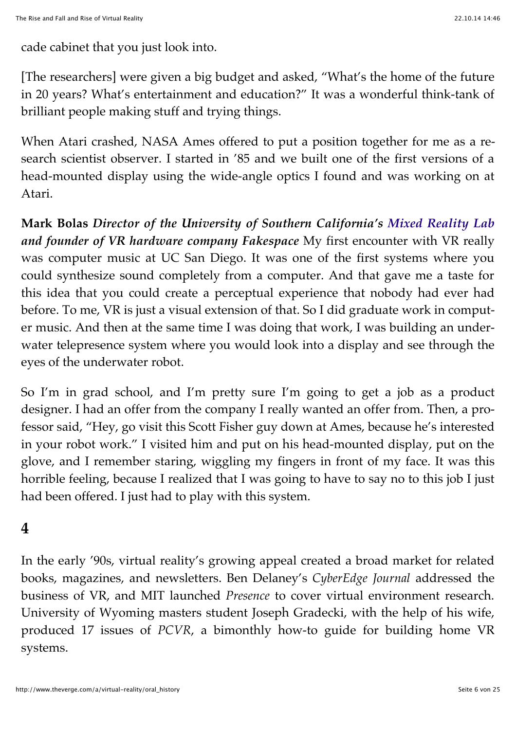cade cabinet that you just look into.

[The researchers] were given a big budget and asked, "What's the home of the future in 20 years? What's entertainment and education?" It was a wonderful think-tank of brilliant people making stuff and trying things.

When Atari crashed, NASA Ames offered to put a position together for me as a research scientist observer. I started in '85 and we built one of the first versions of a head-mounted display using the wide-angle optics I found and was working on at Atari.

**Mark Bolas** *Director of the University of Southern California's [Mixed Reality Lab](http://projects.ict.usc.edu/mxr/) and founder of VR hardware company Fakespace* My first encounter with VR really was computer music at UC San Diego. It was one of the first systems where you could synthesize sound completely from a computer. And that gave me a taste for this idea that you could create a perceptual experience that nobody had ever had before. To me, VR is just a visual extension of that. So I did graduate work in computer music. And then at the same time I was doing that work, I was building an underwater telepresence system where you would look into a display and see through the eyes of the underwater robot.

So I'm in grad school, and I'm pretty sure I'm going to get a job as a product designer. I had an offer from the company I really wanted an offer from. Then, a professor said, "Hey, go visit this Scott Fisher guy down at Ames, because he's interested in your robot work." I visited him and put on his head-mounted display, put on the glove, and I remember staring, wiggling my fingers in front of my face. It was this horrible feeling, because I realized that I was going to have to say no to this job I just had been offered. I just had to play with this system.

#### **4**

In the early '90s, virtual reality's growing appeal created a broad market for related books, magazines, and newsletters. Ben Delaney's *CyberEdge Journal* addressed the business of VR, and MIT launched *Presence* to cover virtual environment research. University of Wyoming masters student Joseph Gradecki, with the help of his wife, produced 17 issues of *PCVR*, a bimonthly how-to guide for building home VR systems.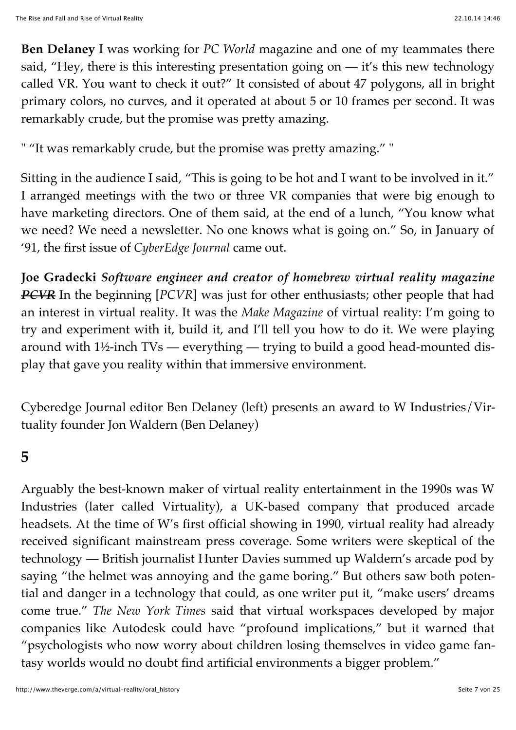**Ben Delaney** I was working for *PC World* magazine and one of my teammates there said, "Hey, there is this interesting presentation going on — it's this new technology called VR. You want to check it out?" It consisted of about 47 polygons, all in bright primary colors, no curves, and it operated at about 5 or 10 frames per second. It was remarkably crude, but the promise was pretty amazing.

" "It was remarkably crude, but the promise was pretty amazing." "

Sitting in the audience I said, "This is going to be hot and I want to be involved in it." I arranged meetings with the two or three VR companies that were big enough to have marketing directors. One of them said, at the end of a lunch, "You know what we need? We need a newsletter. No one knows what is going on." So, in January of '91, the first issue of *CyberEdge Journal* came out.

**Joe Gradecki** *Software engineer and creator of homebrew virtual reality magazine PCVR* In the beginning [*PCVR*] was just for other enthusiasts; other people that had an interest in virtual reality. It was the *Make Magazine* of virtual reality: I'm going to try and experiment with it, build it, and I'll tell you how to do it. We were playing around with 1½-inch TVs — everything — trying to build a good head-mounted display that gave you reality within that immersive environment.

Cyberedge Journal editor Ben Delaney (left) presents an award to W Industries/Virtuality founder Jon Waldern (Ben Delaney)

### **5**

Arguably the best-known maker of virtual reality entertainment in the 1990s was W Industries (later called Virtuality), a UK-based company that produced arcade headsets. At the time of W's first official showing in 1990, virtual reality had already received significant mainstream press coverage. Some writers were skeptical of the technology — British journalist Hunter Davies summed up Waldern's arcade pod by saying "the helmet was annoying and the game boring." But others saw both potential and danger in a technology that could, as one writer put it, "make users' dreams come true." *The New York Times* said that virtual workspaces developed by major companies like Autodesk could have "profound implications," but it warned that "psychologists who now worry about children losing themselves in video game fantasy worlds would no doubt find artificial environments a bigger problem."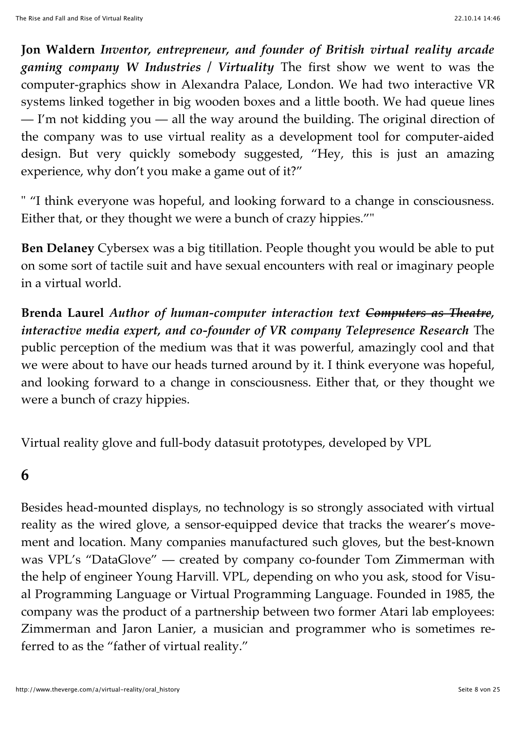**Jon Waldern** *Inventor, entrepreneur, and founder of British virtual reality arcade gaming company W Industries / Virtuality* The first show we went to was the computer-graphics show in Alexandra Palace, London. We had two interactive VR systems linked together in big wooden boxes and a little booth. We had queue lines — I'm not kidding you — all the way around the building. The original direction of the company was to use virtual reality as a development tool for computer-aided design. But very quickly somebody suggested, "Hey, this is just an amazing experience, why don't you make a game out of it?"

" "I think everyone was hopeful, and looking forward to a change in consciousness. Either that, or they thought we were a bunch of crazy hippies.""

**Ben Delaney** Cybersex was a big titillation. People thought you would be able to put on some sort of tactile suit and have sexual encounters with real or imaginary people in a virtual world.

**Brenda Laurel** *Author of human-computer interaction text Computers as Theatre, interactive media expert, and co-founder of VR company Telepresence Research* The public perception of the medium was that it was powerful, amazingly cool and that we were about to have our heads turned around by it. I think everyone was hopeful, and looking forward to a change in consciousness. Either that, or they thought we were a bunch of crazy hippies.

Virtual reality glove and full-body datasuit prototypes, developed by VPL

#### **6**

Besides head-mounted displays, no technology is so strongly associated with virtual reality as the wired glove, a sensor-equipped device that tracks the wearer's movement and location. Many companies manufactured such gloves, but the best-known was VPL's "DataGlove" — created by company co-founder Tom Zimmerman with the help of engineer Young Harvill. VPL, depending on who you ask, stood for Visual Programming Language or Virtual Programming Language. Founded in 1985, the company was the product of a partnership between two former Atari lab employees: Zimmerman and Jaron Lanier, a musician and programmer who is sometimes referred to as the "father of virtual reality."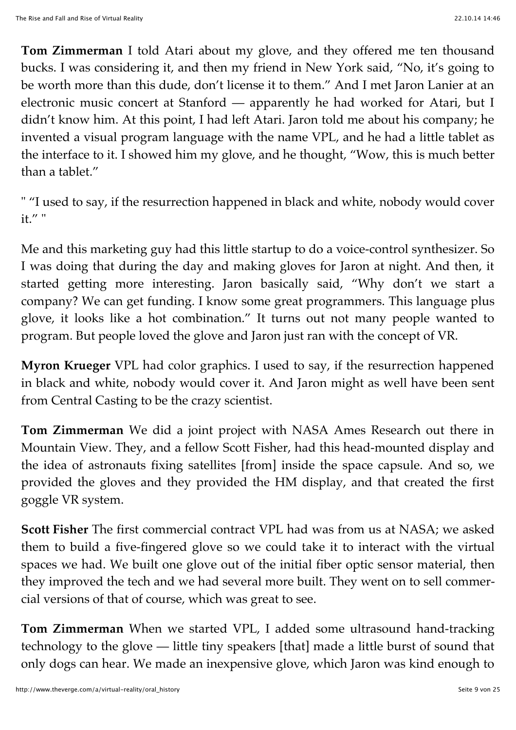**Tom Zimmerman** I told Atari about my glove, and they offered me ten thousand bucks. I was considering it, and then my friend in New York said, "No, it's going to be worth more than this dude, don't license it to them." And I met Jaron Lanier at an electronic music concert at Stanford — apparently he had worked for Atari, but I didn't know him. At this point, I had left Atari. Jaron told me about his company; he invented a visual program language with the name VPL, and he had a little tablet as the interface to it. I showed him my glove, and he thought, "Wow, this is much better than a tablet."

" "I used to say, if the resurrection happened in black and white, nobody would cover it." "

Me and this marketing guy had this little startup to do a voice-control synthesizer. So I was doing that during the day and making gloves for Jaron at night. And then, it started getting more interesting. Jaron basically said, "Why don't we start a company? We can get funding. I know some great programmers. This language plus glove, it looks like a hot combination." It turns out not many people wanted to program. But people loved the glove and Jaron just ran with the concept of VR.

**Myron Krueger** VPL had color graphics. I used to say, if the resurrection happened in black and white, nobody would cover it. And Jaron might as well have been sent from Central Casting to be the crazy scientist.

**Tom Zimmerman** We did a joint project with NASA Ames Research out there in Mountain View. They, and a fellow Scott Fisher, had this head-mounted display and the idea of astronauts fixing satellites [from] inside the space capsule. And so, we provided the gloves and they provided the HM display, and that created the first goggle VR system.

**Scott Fisher** The first commercial contract VPL had was from us at NASA; we asked them to build a five-fingered glove so we could take it to interact with the virtual spaces we had. We built one glove out of the initial fiber optic sensor material, then they improved the tech and we had several more built. They went on to sell commercial versions of that of course, which was great to see.

**Tom Zimmerman** When we started VPL, I added some ultrasound hand-tracking technology to the glove — little tiny speakers [that] made a little burst of sound that only dogs can hear. We made an inexpensive glove, which Jaron was kind enough to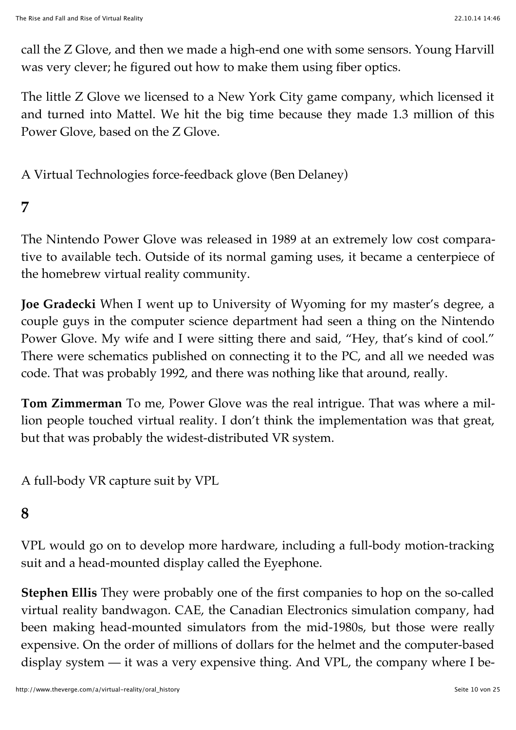call the Z Glove, and then we made a high-end one with some sensors. Young Harvill was very clever; he figured out how to make them using fiber optics.

The little Z Glove we licensed to a New York City game company, which licensed it and turned into Mattel. We hit the big time because they made 1.3 million of this Power Glove, based on the Z Glove.

A Virtual Technologies force-feedback glove (Ben Delaney)

## **7**

The Nintendo Power Glove was released in 1989 at an extremely low cost comparative to available tech. Outside of its normal gaming uses, it became a centerpiece of the homebrew virtual reality community.

**Joe Gradecki** When I went up to University of Wyoming for my master's degree, a couple guys in the computer science department had seen a thing on the Nintendo Power Glove. My wife and I were sitting there and said, "Hey, that's kind of cool." There were schematics published on connecting it to the PC, and all we needed was code. That was probably 1992, and there was nothing like that around, really.

**Tom Zimmerman** To me, Power Glove was the real intrigue. That was where a million people touched virtual reality. I don't think the implementation was that great, but that was probably the widest-distributed VR system.

A full-body VR capture suit by VPL

### **8**

VPL would go on to develop more hardware, including a full-body motion-tracking suit and a head-mounted display called the Eyephone.

**Stephen Ellis** They were probably one of the first companies to hop on the so-called virtual reality bandwagon. CAE, the Canadian Electronics simulation company, had been making head-mounted simulators from the mid-1980s, but those were really expensive. On the order of millions of dollars for the helmet and the computer-based display system — it was a very expensive thing. And VPL, the company where I be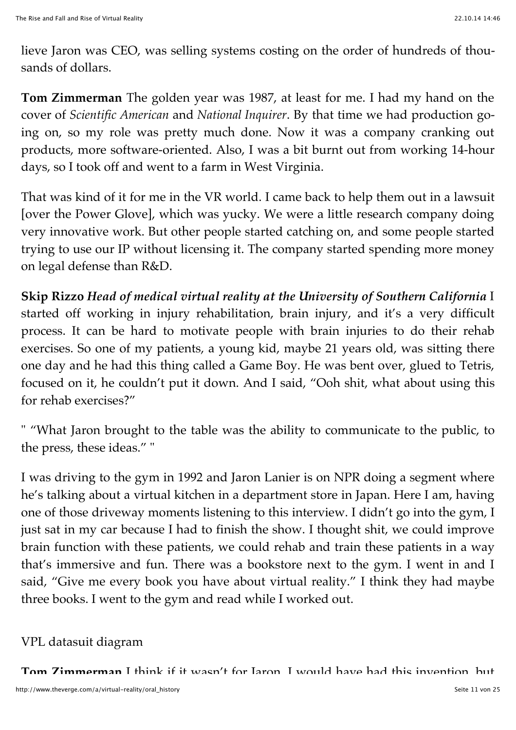lieve Jaron was CEO, was selling systems costing on the order of hundreds of thousands of dollars.

**Tom Zimmerman** The golden year was 1987, at least for me. I had my hand on the cover of *Scientific American* and *National Inquirer*. By that time we had production going on, so my role was pretty much done. Now it was a company cranking out products, more software-oriented. Also, I was a bit burnt out from working 14-hour days, so I took off and went to a farm in West Virginia.

That was kind of it for me in the VR world. I came back to help them out in a lawsuit [over the Power Glove], which was yucky. We were a little research company doing very innovative work. But other people started catching on, and some people started trying to use our IP without licensing it. The company started spending more money on legal defense than R&D.

**Skip Rizzo** *Head of medical virtual reality at the University of Southern California* I started off working in injury rehabilitation, brain injury, and it's a very difficult process. It can be hard to motivate people with brain injuries to do their rehab exercises. So one of my patients, a young kid, maybe 21 years old, was sitting there one day and he had this thing called a Game Boy. He was bent over, glued to Tetris, focused on it, he couldn't put it down. And I said, "Ooh shit, what about using this for rehab exercises?"

" "What Jaron brought to the table was the ability to communicate to the public, to the press, these ideas." "

I was driving to the gym in 1992 and Jaron Lanier is on NPR doing a segment where he's talking about a virtual kitchen in a department store in Japan. Here I am, having one of those driveway moments listening to this interview. I didn't go into the gym, I just sat in my car because I had to finish the show. I thought shit, we could improve brain function with these patients, we could rehab and train these patients in a way that's immersive and fun. There was a bookstore next to the gym. I went in and I said, "Give me every book you have about virtual reality." I think they had maybe three books. I went to the gym and read while I worked out.

#### VPL datasuit diagram

**Tom Zimmerman** I think if it wasn't for Jaron, I would have had this invention, but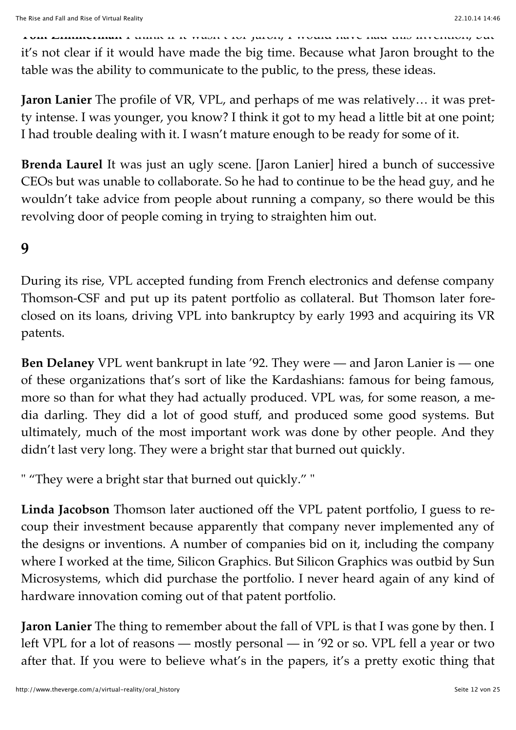**Tom Zimmerman** I think if it wasn't for Jaron, I would have had this invention, but it's not clear if it would have made the big time. Because what Jaron brought to the table was the ability to communicate to the public, to the press, these ideas.

**Jaron Lanier** The profile of VR, VPL, and perhaps of me was relatively… it was pretty intense. I was younger, you know? I think it got to my head a little bit at one point; I had trouble dealing with it. I wasn't mature enough to be ready for some of it.

**Brenda Laurel** It was just an ugly scene. [Jaron Lanier] hired a bunch of successive CEOs but was unable to collaborate. So he had to continue to be the head guy, and he wouldn't take advice from people about running a company, so there would be this revolving door of people coming in trying to straighten him out.

#### **9**

During its rise, VPL accepted funding from French electronics and defense company Thomson-CSF and put up its patent portfolio as collateral. But Thomson later foreclosed on its loans, driving VPL into bankruptcy by early 1993 and acquiring its VR patents.

**Ben Delaney** VPL went bankrupt in late '92. They were — and Jaron Lanier is — one of these organizations that's sort of like the Kardashians: famous for being famous, more so than for what they had actually produced. VPL was, for some reason, a media darling. They did a lot of good stuff, and produced some good systems. But ultimately, much of the most important work was done by other people. And they didn't last very long. They were a bright star that burned out quickly.

" "They were a bright star that burned out quickly." "

**Linda Jacobson** Thomson later auctioned off the VPL patent portfolio, I guess to recoup their investment because apparently that company never implemented any of the designs or inventions. A number of companies bid on it, including the company where I worked at the time, Silicon Graphics. But Silicon Graphics was outbid by Sun Microsystems, which did purchase the portfolio. I never heard again of any kind of hardware innovation coming out of that patent portfolio.

**Jaron Lanier** The thing to remember about the fall of VPL is that I was gone by then. I left VPL for a lot of reasons — mostly personal — in '92 or so. VPL fell a year or two after that. If you were to believe what's in the papers, it's a pretty exotic thing that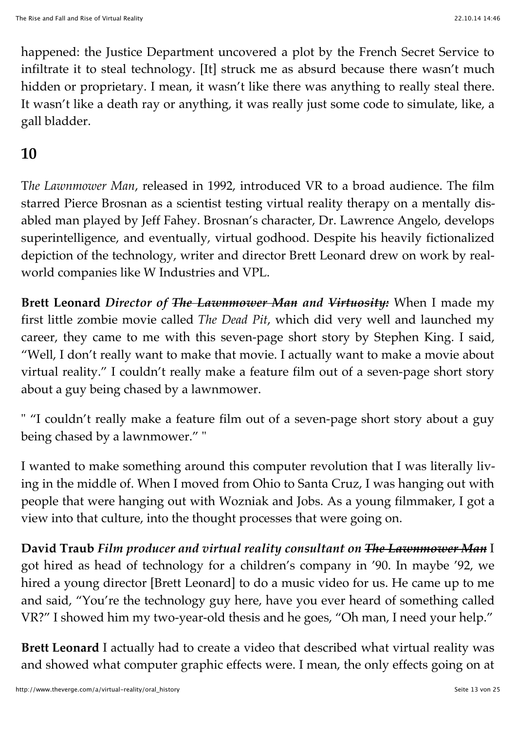happened: the Justice Department uncovered a plot by the French Secret Service to infiltrate it to steal technology. [It] struck me as absurd because there wasn't much hidden or proprietary. I mean, it wasn't like there was anything to really steal there. It wasn't like a death ray or anything, it was really just some code to simulate, like, a gall bladder.

## **10**

T*he Lawnmower Man*, released in 1992, introduced VR to a broad audience. The film starred Pierce Brosnan as a scientist testing virtual reality therapy on a mentally disabled man played by Jeff Fahey. Brosnan's character, Dr. Lawrence Angelo, develops superintelligence, and eventually, virtual godhood. Despite his heavily fictionalized depiction of the technology, writer and director Brett Leonard drew on work by realworld companies like W Industries and VPL.

**Brett Leonard** *Director of The Lawnmower Man and Virtuosity:* When I made my first little zombie movie called *The Dead Pit*, which did very well and launched my career, they came to me with this seven-page short story by Stephen King. I said, "Well, I don't really want to make that movie. I actually want to make a movie about virtual reality." I couldn't really make a feature film out of a seven-page short story about a guy being chased by a lawnmower.

" "I couldn't really make a feature film out of a seven-page short story about a guy being chased by a lawnmower." "

I wanted to make something around this computer revolution that I was literally living in the middle of. When I moved from Ohio to Santa Cruz, I was hanging out with people that were hanging out with Wozniak and Jobs. As a young filmmaker, I got a view into that culture, into the thought processes that were going on.

**David Traub** *Film producer and virtual reality consultant on The Lawnmower Man* I got hired as head of technology for a children's company in '90. In maybe '92, we hired a young director [Brett Leonard] to do a music video for us. He came up to me and said, "You're the technology guy here, have you ever heard of something called VR?" I showed him my two-year-old thesis and he goes, "Oh man, I need your help."

**Brett Leonard** I actually had to create a video that described what virtual reality was and showed what computer graphic effects were. I mean, the only effects going on at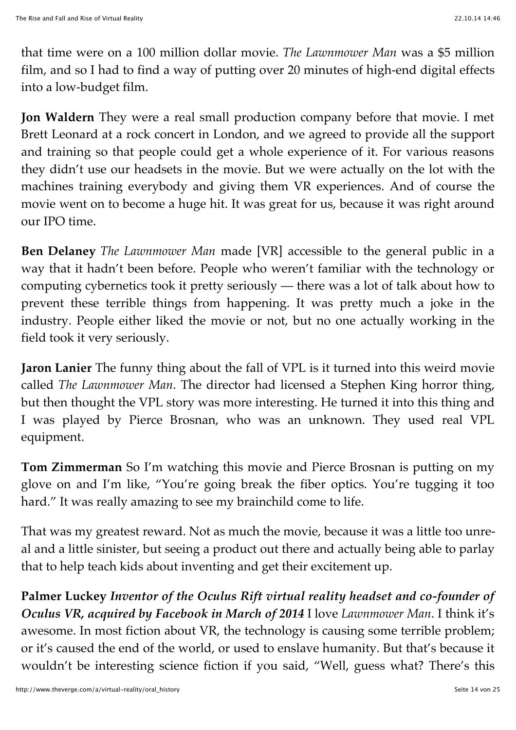that time were on a 100 million dollar movie. *The Lawnmower Man* was a \$5 million film, and so I had to find a way of putting over 20 minutes of high-end digital effects into a low-budget film.

**Jon Waldern** They were a real small production company before that movie. I met Brett Leonard at a rock concert in London, and we agreed to provide all the support and training so that people could get a whole experience of it. For various reasons they didn't use our headsets in the movie. But we were actually on the lot with the machines training everybody and giving them VR experiences. And of course the movie went on to become a huge hit. It was great for us, because it was right around our IPO time.

**Ben Delaney** *The Lawnmower Man* made [VR] accessible to the general public in a way that it hadn't been before. People who weren't familiar with the technology or computing cybernetics took it pretty seriously — there was a lot of talk about how to prevent these terrible things from happening. It was pretty much a joke in the industry. People either liked the movie or not, but no one actually working in the field took it very seriously.

**Jaron Lanier** The funny thing about the fall of VPL is it turned into this weird movie called *The Lawnmower Man*. The director had licensed a Stephen King horror thing, but then thought the VPL story was more interesting. He turned it into this thing and I was played by Pierce Brosnan, who was an unknown. They used real VPL equipment.

**Tom Zimmerman** So I'm watching this movie and Pierce Brosnan is putting on my glove on and I'm like, "You're going break the fiber optics. You're tugging it too hard." It was really amazing to see my brainchild come to life.

That was my greatest reward. Not as much the movie, because it was a little too unreal and a little sinister, but seeing a product out there and actually being able to parlay that to help teach kids about inventing and get their excitement up.

**Palmer Luckey** *Inventor of the Oculus Rift virtual reality headset and co-founder of Oculus VR, acquired by Facebook in March of 2014* I love *Lawnmower Man*. I think it's awesome. In most fiction about VR, the technology is causing some terrible problem; or it's caused the end of the world, or used to enslave humanity. But that's because it wouldn't be interesting science fiction if you said, "Well, guess what? There's this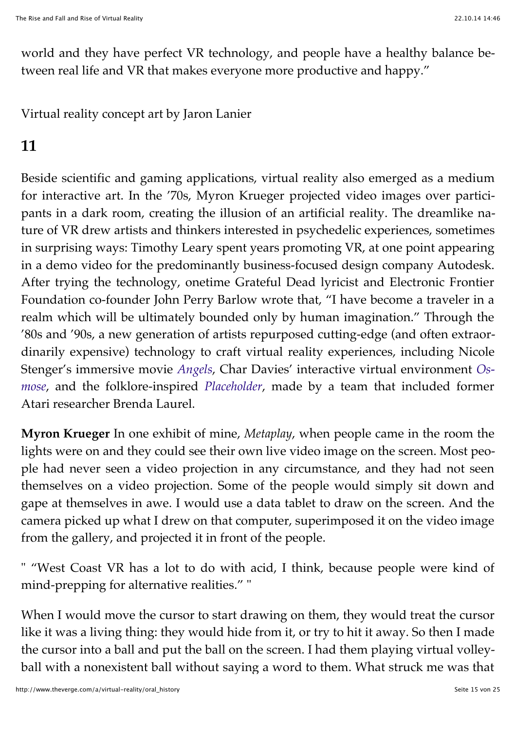world and they have perfect VR technology, and people have a healthy balance between real life and VR that makes everyone more productive and happy."

Virtual reality concept art by Jaron Lanier

## **11**

Beside scientific and gaming applications, virtual reality also emerged as a medium for interactive art. In the '70s, Myron Krueger projected video images over participants in a dark room, creating the illusion of an artificial reality. The dreamlike nature of VR drew artists and thinkers interested in psychedelic experiences, sometimes in surprising ways: Timothy Leary spent years promoting VR, at one point appearing in a demo video for the predominantly business-focused design company Autodesk. After trying the technology, onetime Grateful Dead lyricist and Electronic Frontier Foundation co-founder John Perry Barlow wrote that, "I have become a traveler in a realm which will be ultimately bounded only by human imagination." Through the '80s and '90s, a new generation of artists repurposed cutting-edge (and often extraordinarily expensive) technology to craft virtual reality experiences, including Nicole Stenger's immersive movie *[Angels](http://www.youtube.com/watch?v=RhSzFDFe8KU)*[, Char Davies' interactive virtual environment](http://www.youtube.com/watch?v=54O4VP3tCoY&feature=player_embedded) *Osmose*, and the folklore-inspired *[Placeholder](http://tauzero.com/Brenda_Laurel/Placeholder/Placeholder.html)*, made by a team that included former Atari researcher Brenda Laurel.

**Myron Krueger** In one exhibit of mine, *Metaplay*, when people came in the room the lights were on and they could see their own live video image on the screen. Most people had never seen a video projection in any circumstance, and they had not seen themselves on a video projection. Some of the people would simply sit down and gape at themselves in awe. I would use a data tablet to draw on the screen. And the camera picked up what I drew on that computer, superimposed it on the video image from the gallery, and projected it in front of the people.

" "West Coast VR has a lot to do with acid, I think, because people were kind of mind-prepping for alternative realities." "

When I would move the cursor to start drawing on them, they would treat the cursor like it was a living thing: they would hide from it, or try to hit it away. So then I made the cursor into a ball and put the ball on the screen. I had them playing virtual volleyball with a nonexistent ball without saying a word to them. What struck me was that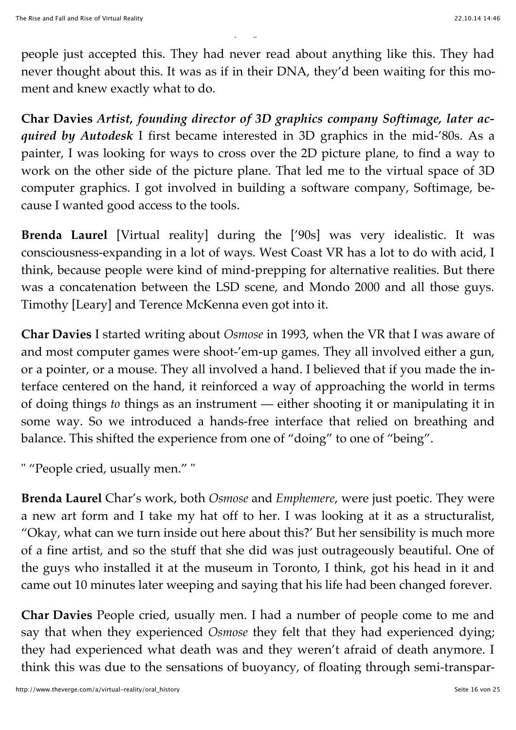people just accepted this. They had never read about anything like this. They had never thought about this. It was as if in their DNA, they'd been waiting for this moment and knew exactly what to do.

ball with a non-term and with a non-term and without saying a word to them. What struck me was that struck me<br>What struck me was that struck me was that struck me was that struck me was that struck me was that struck me

**Char Davies** *Artist, founding director of 3D graphics company Softimage, later acquired by Autodesk* I first became interested in 3D graphics in the mid-'80s. As a painter, I was looking for ways to cross over the 2D picture plane, to find a way to work on the other side of the picture plane. That led me to the virtual space of 3D computer graphics. I got involved in building a software company, Softimage, because I wanted good access to the tools.

**Brenda Laurel** [Virtual reality] during the ['90s] was very idealistic. It was consciousness-expanding in a lot of ways. West Coast VR has a lot to do with acid, I think, because people were kind of mind-prepping for alternative realities. But there was a concatenation between the LSD scene, and Mondo 2000 and all those guys. Timothy [Leary] and Terence McKenna even got into it.

**Char Davies** I started writing about *Osmose* in 1993, when the VR that I was aware of and most computer games were shoot-'em-up games. They all involved either a gun, or a pointer, or a mouse. They all involved a hand. I believed that if you made the interface centered on the hand, it reinforced a way of approaching the world in terms of doing things *to* things as an instrument — either shooting it or manipulating it in some way. So we introduced a hands-free interface that relied on breathing and balance. This shifted the experience from one of "doing" to one of "being".

" "People cried, usually men." "

**Brenda Laurel** Char's work, both *Osmose* and *Emphemere*, were just poetic. They were a new art form and I take my hat off to her. I was looking at it as a structuralist, "Okay, what can we turn inside out here about this?' But her sensibility is much more of a fine artist, and so the stuff that she did was just outrageously beautiful. One of the guys who installed it at the museum in Toronto, I think, got his head in it and came out 10 minutes later weeping and saying that his life had been changed forever.

**Char Davies** People cried, usually men. I had a number of people come to me and say that when they experienced *Osmose* they felt that they had experienced dying; they had experienced what death was and they weren't afraid of death anymore. I think this was due to the sensations of buoyancy, of floating through semi-transpar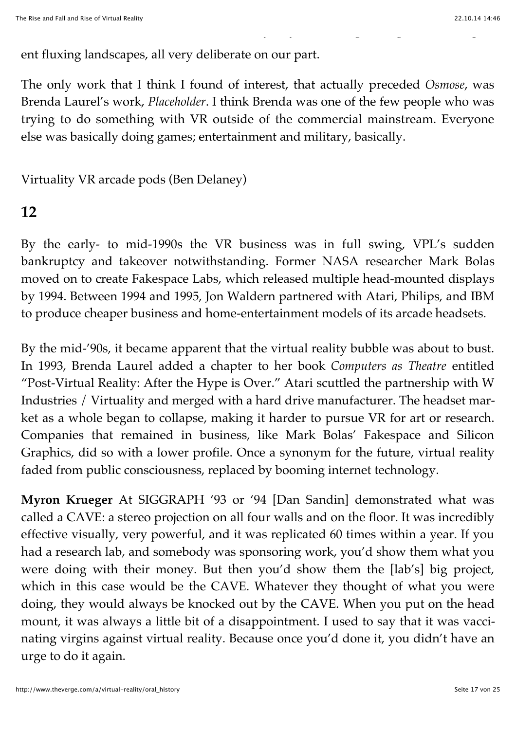ent fluxing landscapes, all very deliberate on our part.

The only work that I think I found of interest, that actually preceded *Osmose*, was Brenda Laurel's work, *Placeholder*. I think Brenda was one of the few people who was trying to do something with VR outside of the commercial mainstream. Everyone else was basically doing games; entertainment and military, basically.

think this was due to the sensations of buoyancy, of floating through semi-transpar-

Virtuality VR arcade pods (Ben Delaney)

#### **12**

By the early- to mid-1990s the VR business was in full swing, VPL's sudden bankruptcy and takeover notwithstanding. Former NASA researcher Mark Bolas moved on to create Fakespace Labs, which released multiple head-mounted displays by 1994. Between 1994 and 1995, Jon Waldern partnered with Atari, Philips, and IBM to produce cheaper business and home-entertainment models of its arcade headsets.

By the mid-'90s, it became apparent that the virtual reality bubble was about to bust. In 1993, Brenda Laurel added a chapter to her book *Computers as Theatre* entitled "Post-Virtual Reality: After the Hype is Over." Atari scuttled the partnership with W Industries / Virtuality and merged with a hard drive manufacturer. The headset market as a whole began to collapse, making it harder to pursue VR for art or research. Companies that remained in business, like Mark Bolas' Fakespace and Silicon Graphics, did so with a lower profile. Once a synonym for the future, virtual reality faded from public consciousness, replaced by booming internet technology.

**Myron Krueger** At SIGGRAPH '93 or '94 [Dan Sandin] demonstrated what was called a CAVE: a stereo projection on all four walls and on the floor. It was incredibly effective visually, very powerful, and it was replicated 60 times within a year. If you had a research lab, and somebody was sponsoring work, you'd show them what you were doing with their money. But then you'd show them the [lab's] big project, which in this case would be the CAVE. Whatever they thought of what you were doing, they would always be knocked out by the CAVE. When you put on the head mount, it was always a little bit of a disappointment. I used to say that it was vaccinating virgins against virtual reality. Because once you'd done it, you didn't have an urge to do it again.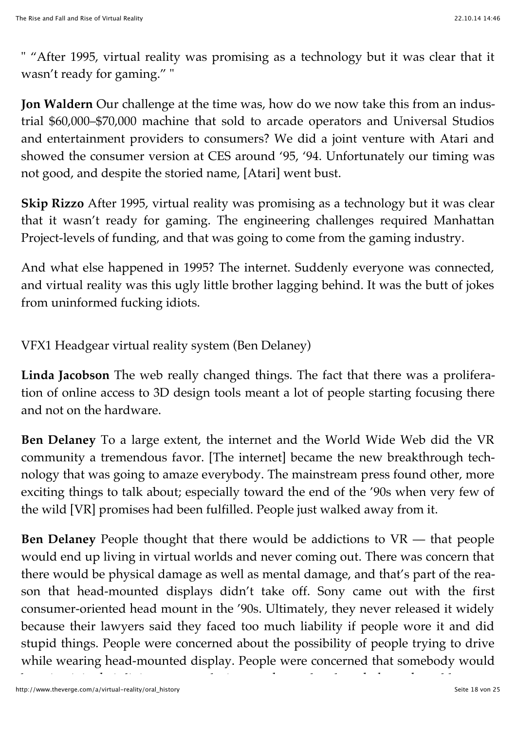" "After 1995, virtual reality was promising as a technology but it was clear that it wasn't ready for gaming." "

**Jon Waldern** Our challenge at the time was, how do we now take this from an industrial \$60,000–\$70,000 machine that sold to arcade operators and Universal Studios and entertainment providers to consumers? We did a joint venture with Atari and showed the consumer version at CES around '95, '94. Unfortunately our timing was not good, and despite the storied name, [Atari] went bust.

**Skip Rizzo** After 1995, virtual reality was promising as a technology but it was clear that it wasn't ready for gaming. The engineering challenges required Manhattan Project-levels of funding, and that was going to come from the gaming industry.

And what else happened in 1995? The internet. Suddenly everyone was connected, and virtual reality was this ugly little brother lagging behind. It was the butt of jokes from uninformed fucking idiots.

VFX1 Headgear virtual reality system (Ben Delaney)

**Linda Jacobson** The web really changed things. The fact that there was a proliferation of online access to 3D design tools meant a lot of people starting focusing there and not on the hardware.

**Ben Delaney** To a large extent, the internet and the World Wide Web did the VR community a tremendous favor. [The internet] became the new breakthrough technology that was going to amaze everybody. The mainstream press found other, more exciting things to talk about; especially toward the end of the '90s when very few of the wild [VR] promises had been fulfilled. People just walked away from it.

**Ben Delaney** People thought that there would be addictions to VR — that people would end up living in virtual worlds and never coming out. There was concern that there would be physical damage as well as mental damage, and that's part of the reason that head-mounted displays didn't take off. Sony came out with the first consumer-oriented head mount in the '90s. Ultimately, they never released it widely because their lawyers said they faced too much liability if people wore it and did stupid things. People were concerned about the possibility of people trying to drive while wearing head-mounted display. People were concerned that somebody would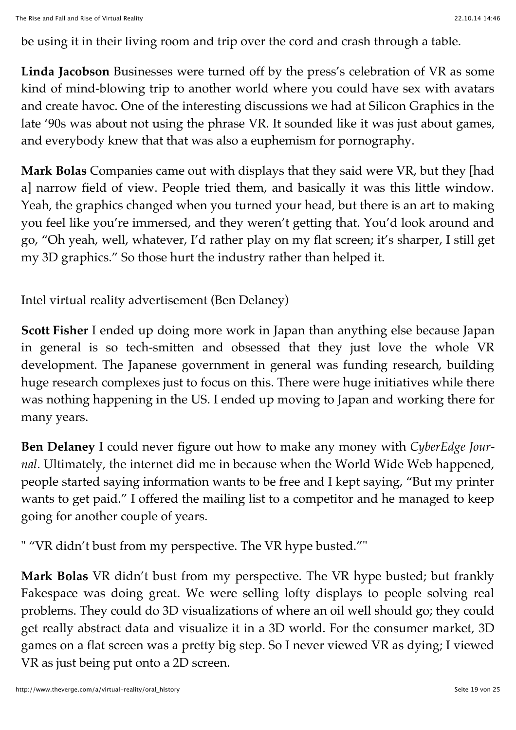be using it in their living room and trip over the cord and crash through a table.

**Linda Jacobson** Businesses were turned off by the press's celebration of VR as some kind of mind-blowing trip to another world where you could have sex with avatars and create havoc. One of the interesting discussions we had at Silicon Graphics in the late '90s was about not using the phrase VR. It sounded like it was just about games, and everybody knew that that was also a euphemism for pornography.

**Mark Bolas** Companies came out with displays that they said were VR, but they [had a] narrow field of view. People tried them, and basically it was this little window. Yeah, the graphics changed when you turned your head, but there is an art to making you feel like you're immersed, and they weren't getting that. You'd look around and go, "Oh yeah, well, whatever, I'd rather play on my flat screen; it's sharper, I still get my 3D graphics." So those hurt the industry rather than helped it.

Intel virtual reality advertisement (Ben Delaney)

**Scott Fisher** I ended up doing more work in Japan than anything else because Japan in general is so tech-smitten and obsessed that they just love the whole VR development. The Japanese government in general was funding research, building huge research complexes just to focus on this. There were huge initiatives while there was nothing happening in the US. I ended up moving to Japan and working there for many years.

**Ben Delaney** I could never figure out how to make any money with *CyberEdge Journal*. Ultimately, the internet did me in because when the World Wide Web happened, people started saying information wants to be free and I kept saying, "But my printer wants to get paid." I offered the mailing list to a competitor and he managed to keep going for another couple of years.

" "VR didn't bust from my perspective. The VR hype busted.""

**Mark Bolas** VR didn't bust from my perspective. The VR hype busted; but frankly Fakespace was doing great. We were selling lofty displays to people solving real problems. They could do 3D visualizations of where an oil well should go; they could get really abstract data and visualize it in a 3D world. For the consumer market, 3D games on a flat screen was a pretty big step. So I never viewed VR as dying; I viewed VR as just being put onto a 2D screen.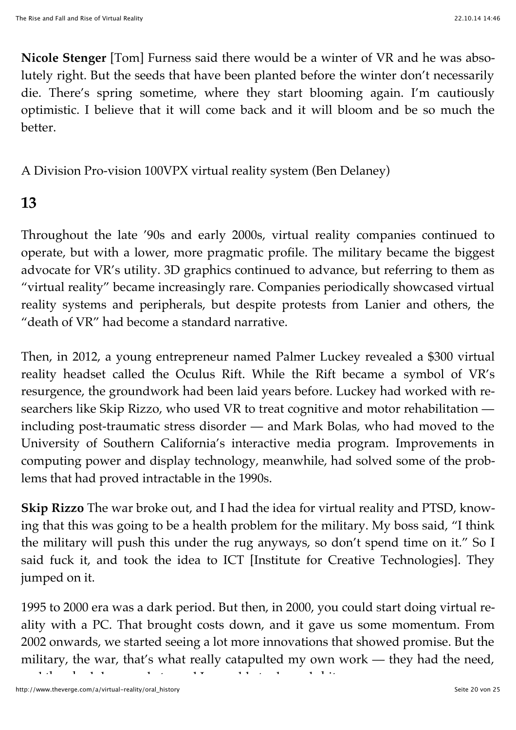**Nicole Stenger** [Tom] Furness said there would be a winter of VR and he was absolutely right. But the seeds that have been planted before the winter don't necessarily die. There's spring sometime, where they start blooming again. I'm cautiously optimistic. I believe that it will come back and it will bloom and be so much the better.

A Division Pro-vision 100VPX virtual reality system (Ben Delaney)

#### **13**

Throughout the late '90s and early 2000s, virtual reality companies continued to operate, but with a lower, more pragmatic profile. The military became the biggest advocate for VR's utility. 3D graphics continued to advance, but referring to them as "virtual reality" became increasingly rare. Companies periodically showcased virtual reality systems and peripherals, but despite protests from Lanier and others, the "death of VR" had become a standard narrative.

Then, in 2012, a young entrepreneur named Palmer Luckey revealed a \$300 virtual reality headset called the Oculus Rift. While the Rift became a symbol of VR's resurgence, the groundwork had been laid years before. Luckey had worked with researchers like Skip Rizzo, who used VR to treat cognitive and motor rehabilitation including post-traumatic stress disorder — and Mark Bolas, who had moved to the University of Southern California's interactive media program. Improvements in computing power and display technology, meanwhile, had solved some of the problems that had proved intractable in the 1990s.

**Skip Rizzo** The war broke out, and I had the idea for virtual reality and PTSD, knowing that this was going to be a health problem for the military. My boss said, "I think the military will push this under the rug anyways, so don't spend time on it." So I said fuck it, and took the idea to ICT [Institute for Creative Technologies]. They jumped on it.

1995 to 2000 era was a dark period. But then, in 2000, you could start doing virtual reality with a PC. That brought costs down, and it gave us some momentum. From 2002 onwards, we started seeing a lot more innovations that showed promise. But the military, the war, that's what really catapulted my own work — they had the need,

http://www.theverge.com/a/virtual-reality/oral\_history Seite 20 von 25

and they had deep pockets, and I was able to do cool shit.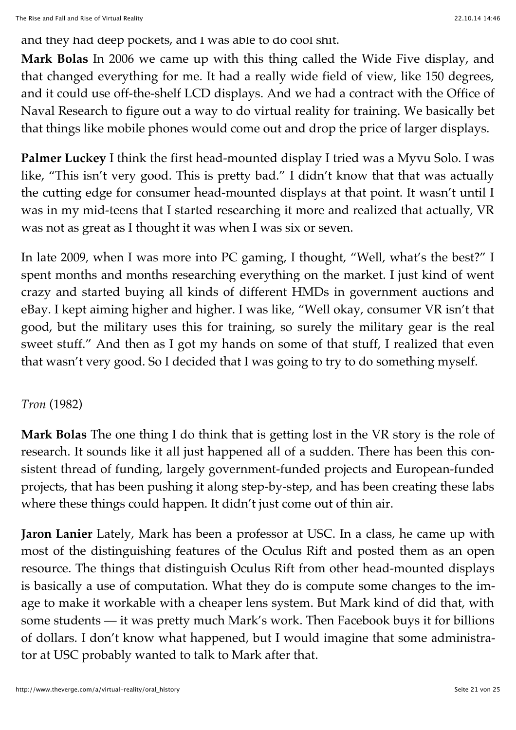and they had deep pockets, and I was able to do cool shit.

**Mark Bolas** In 2006 we came up with this thing called the Wide Five display, and that changed everything for me. It had a really wide field of view, like 150 degrees, and it could use off-the-shelf LCD displays. And we had a contract with the Office of Naval Research to figure out a way to do virtual reality for training. We basically bet that things like mobile phones would come out and drop the price of larger displays.

**Palmer Luckey** I think the first head-mounted display I tried was a Myvu Solo. I was like, "This isn't very good. This is pretty bad." I didn't know that that was actually the cutting edge for consumer head-mounted displays at that point. It wasn't until I was in my mid-teens that I started researching it more and realized that actually, VR was not as great as I thought it was when I was six or seven.

In late 2009, when I was more into PC gaming, I thought, "Well, what's the best?" I spent months and months researching everything on the market. I just kind of went crazy and started buying all kinds of different HMDs in government auctions and eBay. I kept aiming higher and higher. I was like, "Well okay, consumer VR isn't that good, but the military uses this for training, so surely the military gear is the real sweet stuff." And then as I got my hands on some of that stuff, I realized that even that wasn't very good. So I decided that I was going to try to do something myself.

#### *Tron* (1982)

**Mark Bolas** The one thing I do think that is getting lost in the VR story is the role of research. It sounds like it all just happened all of a sudden. There has been this consistent thread of funding, largely government-funded projects and European-funded projects, that has been pushing it along step-by-step, and has been creating these labs where these things could happen. It didn't just come out of thin air.

**Jaron Lanier** Lately, Mark has been a professor at USC. In a class, he came up with most of the distinguishing features of the Oculus Rift and posted them as an open resource. The things that distinguish Oculus Rift from other head-mounted displays is basically a use of computation. What they do is compute some changes to the image to make it workable with a cheaper lens system. But Mark kind of did that, with some students — it was pretty much Mark's work. Then Facebook buys it for billions of dollars. I don't know what happened, but I would imagine that some administrator at USC probably wanted to talk to Mark after that.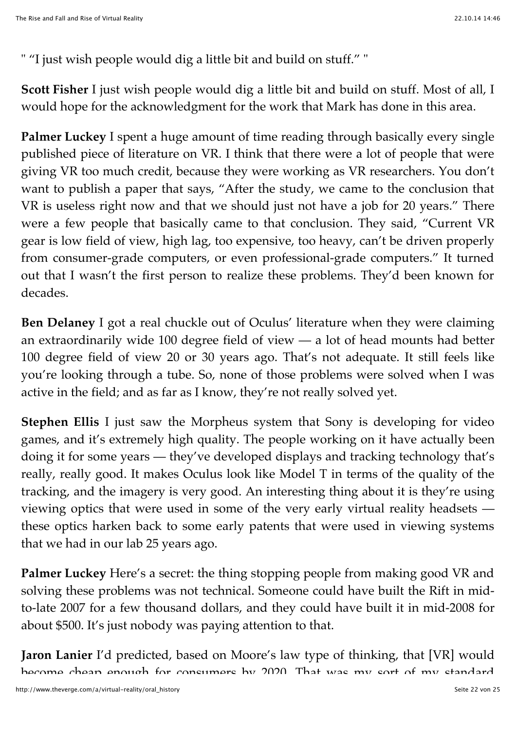" "I just wish people would dig a little bit and build on stuff." "

**Scott Fisher** I just wish people would dig a little bit and build on stuff. Most of all, I would hope for the acknowledgment for the work that Mark has done in this area.

**Palmer Luckey** I spent a huge amount of time reading through basically every single published piece of literature on VR. I think that there were a lot of people that were giving VR too much credit, because they were working as VR researchers. You don't want to publish a paper that says, "After the study, we came to the conclusion that VR is useless right now and that we should just not have a job for 20 years." There were a few people that basically came to that conclusion. They said, "Current VR gear is low field of view, high lag, too expensive, too heavy, can't be driven properly from consumer-grade computers, or even professional-grade computers." It turned out that I wasn't the first person to realize these problems. They'd been known for decades.

**Ben Delaney** I got a real chuckle out of Oculus' literature when they were claiming an extraordinarily wide 100 degree field of view — a lot of head mounts had better 100 degree field of view 20 or 30 years ago. That's not adequate. It still feels like you're looking through a tube. So, none of those problems were solved when I was active in the field; and as far as I know, they're not really solved yet.

**Stephen Ellis** I just saw the Morpheus system that Sony is developing for video games, and it's extremely high quality. The people working on it have actually been doing it for some years — they've developed displays and tracking technology that's really, really good. It makes Oculus look like Model T in terms of the quality of the tracking, and the imagery is very good. An interesting thing about it is they're using viewing optics that were used in some of the very early virtual reality headsets these optics harken back to some early patents that were used in viewing systems that we had in our lab 25 years ago.

**Palmer Luckey** Here's a secret: the thing stopping people from making good VR and solving these problems was not technical. Someone could have built the Rift in midto-late 2007 for a few thousand dollars, and they could have built it in mid-2008 for about \$500. It's just nobody was paying attention to that.

**Jaron Lanier** I'd predicted, based on Moore's law type of thinking, that [VR] would become cheap enough for consumers by 2020. That was my sort of my standard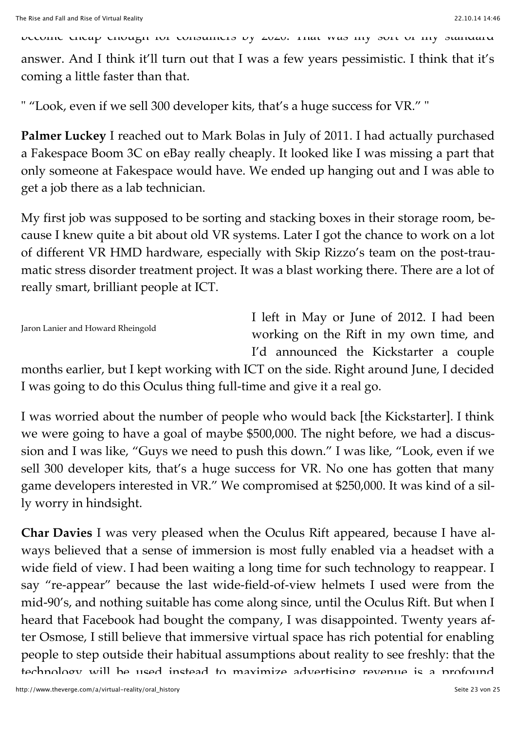become cheap enough for consumers by 2020. That was my sort of my standard

answer. And I think it'll turn out that I was a few years pessimistic. I think that it's coming a little faster than that.

" "Look, even if we sell 300 developer kits, that's a huge success for VR." "

**Palmer Luckey** I reached out to Mark Bolas in July of 2011. I had actually purchased a Fakespace Boom 3C on eBay really cheaply. It looked like I was missing a part that only someone at Fakespace would have. We ended up hanging out and I was able to get a job there as a lab technician.

My first job was supposed to be sorting and stacking boxes in their storage room, because I knew quite a bit about old VR systems. Later I got the chance to work on a lot of different VR HMD hardware, especially with Skip Rizzo's team on the post-traumatic stress disorder treatment project. It was a blast working there. There are a lot of really smart, brilliant people at ICT.

Jaron Lanier and Howard Rheingold

I left in May or June of 2012. I had been working on the Rift in my own time, and I'd announced the Kickstarter a couple

months earlier, but I kept working with ICT on the side. Right around June, I decided I was going to do this Oculus thing full-time and give it a real go.

I was worried about the number of people who would back [the Kickstarter]. I think we were going to have a goal of maybe \$500,000. The night before, we had a discussion and I was like, "Guys we need to push this down." I was like, "Look, even if we sell 300 developer kits, that's a huge success for VR. No one has gotten that many game developers interested in VR." We compromised at \$250,000. It was kind of a silly worry in hindsight.

**Char Davies** I was very pleased when the Oculus Rift appeared, because I have always believed that a sense of immersion is most fully enabled via a headset with a wide field of view. I had been waiting a long time for such technology to reappear. I say "re-appear" because the last wide-field-of-view helmets I used were from the mid-90's, and nothing suitable has come along since, until the Oculus Rift. But when I heard that Facebook had bought the company, I was disappointed. Twenty years after Osmose, I still believe that immersive virtual space has rich potential for enabling people to step outside their habitual assumptions about reality to see freshly: that the technology will be used instead to maximize advertising revenue is a profound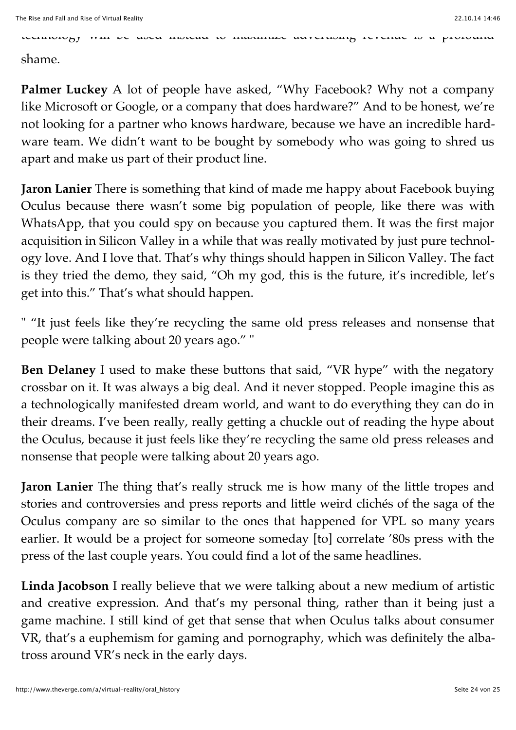technology will be used instead to maximize advertising revenue is a profound

shame.

**Palmer Luckey** A lot of people have asked, "Why Facebook? Why not a company like Microsoft or Google, or a company that does hardware?" And to be honest, we're not looking for a partner who knows hardware, because we have an incredible hardware team. We didn't want to be bought by somebody who was going to shred us apart and make us part of their product line.

**Jaron Lanier** There is something that kind of made me happy about Facebook buying Oculus because there wasn't some big population of people, like there was with WhatsApp, that you could spy on because you captured them. It was the first major acquisition in Silicon Valley in a while that was really motivated by just pure technology love. And I love that. That's why things should happen in Silicon Valley. The fact is they tried the demo, they said, "Oh my god, this is the future, it's incredible, let's get into this." That's what should happen.

" "It just feels like they're recycling the same old press releases and nonsense that people were talking about 20 years ago." "

**Ben Delaney** I used to make these buttons that said, "VR hype" with the negatory crossbar on it. It was always a big deal. And it never stopped. People imagine this as a technologically manifested dream world, and want to do everything they can do in their dreams. I've been really, really getting a chuckle out of reading the hype about the Oculus, because it just feels like they're recycling the same old press releases and nonsense that people were talking about 20 years ago.

**Jaron Lanier** The thing that's really struck me is how many of the little tropes and stories and controversies and press reports and little weird clichés of the saga of the Oculus company are so similar to the ones that happened for VPL so many years earlier. It would be a project for someone someday [to] correlate '80s press with the press of the last couple years. You could find a lot of the same headlines.

**Linda Jacobson** I really believe that we were talking about a new medium of artistic and creative expression. And that's my personal thing, rather than it being just a game machine. I still kind of get that sense that when Oculus talks about consumer VR, that's a euphemism for gaming and pornography, which was definitely the albatross around VR's neck in the early days.